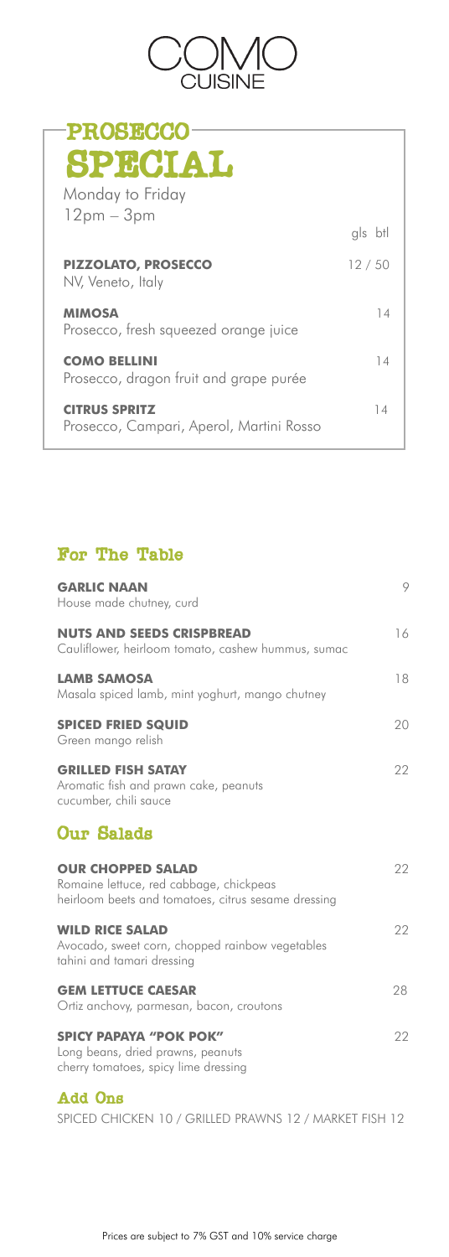### For The Table

| <b>GARLIC NAAN</b><br>House made chutney, curd                                                                             | 9  |
|----------------------------------------------------------------------------------------------------------------------------|----|
| <b>NUTS AND SEEDS CRISPBREAD</b><br>Cauliflower, heirloom tomato, cashew hummus, sumac                                     | 16 |
| <b>LAMB SAMOSA</b><br>Masala spiced lamb, mint yoghurt, mango chutney                                                      | 18 |
| <b>SPICED FRIED SQUID</b><br>Green mango relish                                                                            | 20 |
| <b>GRILLED FISH SATAY</b><br>Aromatic fish and prawn cake, peanuts<br>cucumber, chili sauce                                | 22 |
| <b>Our Salads</b>                                                                                                          |    |
| <b>OUR CHOPPED SALAD</b><br>Romaine lettuce, red cabbage, chickpeas<br>heirloom beets and tomatoes, citrus sesame dressing | 22 |

### **WILD RICE SALAD** 22 Avocado, sweet corn, chopped rainbow vegetables

tahini and tamari dressing

### **GEM LETTUCE CAESAR** 28

Ortiz anchovy, parmesan, bacon, croutons

#### **SPICY PAPAYA "POK POK"** 22

Long beans, dried prawns, peanuts cherry tomatoes, spicy lime dressing

### Add Ons

SPICED CHICKEN 10 / GRILLED PRAWNS 12 / MARKET FISH 12

Prices are subject to 7% GST and 10% service charge



| <b>PROSECCO</b>                                                  |         |
|------------------------------------------------------------------|---------|
| SPECIAL                                                          |         |
| Monday to Friday                                                 |         |
| $12pm - 3pm$                                                     | gls btl |
| <b>PIZZOLATO, PROSECCO</b><br>NV, Veneto, Italy                  | 12/50   |
| <b>MIMOSA</b><br>Prosecco, fresh squeezed orange juice           | 14      |
| <b>COMO BELLINI</b><br>Prosecco, dragon fruit and grape purée    | 14      |
| <b>CITRUS SPRITZ</b><br>Prosecco, Campari, Aperol, Martini Rosso | 14      |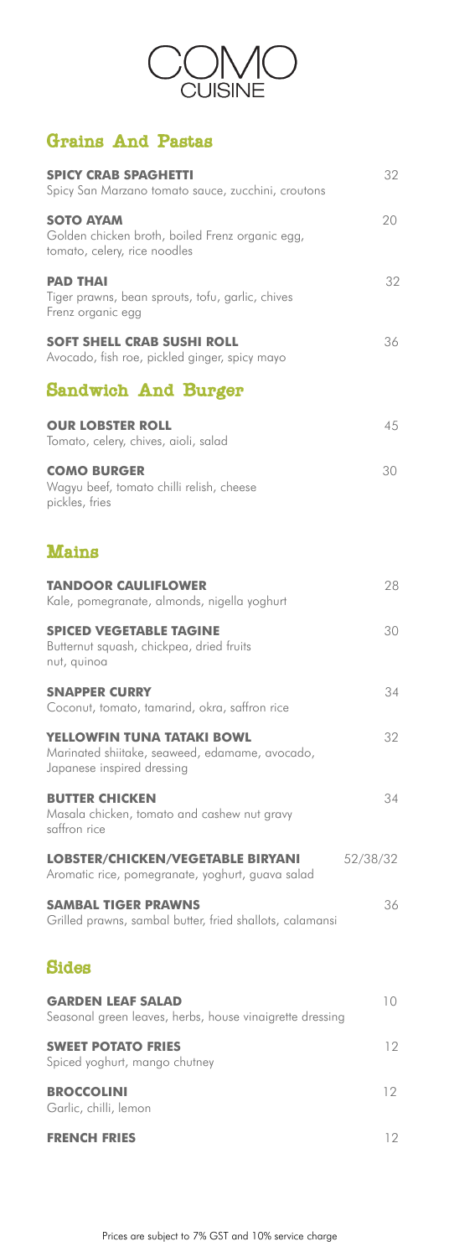

# Grains And Pastas

| <b>SPICY CRAB SPAGHETTI</b><br>Spicy San Marzano tomato sauce, zucchini, croutons                                 | 32       |
|-------------------------------------------------------------------------------------------------------------------|----------|
| <b>SOTO AYAM</b><br>Golden chicken broth, boiled Frenz organic egg,<br>tomato, celery, rice noodles               | 20       |
| <b>PAD THAI</b><br>Tiger prawns, bean sprouts, tofu, garlic, chives<br>Frenz organic egg                          | 32       |
| <b>SOFT SHELL CRAB SUSHI ROLL</b><br>Avocado, fish roe, pickled ginger, spicy mayo                                | 36       |
| Sandwich And Burger                                                                                               |          |
| <b>OUR LOBSTER ROLL</b><br>Tomato, celery, chives, aioli, salad                                                   | 45       |
| <b>COMO BURGER</b><br>Wagyu beef, tomato chilli relish, cheese<br>pickles, fries                                  | 30       |
| Mains                                                                                                             |          |
| <b>TANDOOR CAULIFLOWER</b><br>Kale, pomegranate, almonds, nigella yoghurt                                         | 28       |
| <b>SPICED VEGETABLE TAGINE</b><br>Butternut squash, chickpea, dried fruits<br>nut, quinoa                         | 30       |
| <b>SNAPPER CURRY</b><br>Coconut, tomato, tamarind, okra, saffron rice                                             | 34       |
| <b>YELLOWFIN TUNA TATAKI BOWL</b><br>Marinated shiitake, seaweed, edamame, avocado,<br>Japanese inspired dressing | 32       |
| <b>BUTTER CHICKEN</b><br>Masala chicken, tomato and cashew nut gravy<br>saffron rice                              | 34       |
| <b>LOBSTER/CHICKEN/VEGETABLE BIRYANI</b><br>Aromatic rice, pomegranate, yoghurt, guava salad                      | 52/38/32 |
| <b>SAMBAL TIGER PRAWNS</b><br>Grilled prawns, sambal butter, fried shallots, calamansi                            | 36       |

## Sides

| <b>GARDEN LEAF SALAD</b><br>Seasonal green leaves, herbs, house vinaigrette dressing |    |
|--------------------------------------------------------------------------------------|----|
| <b>SWEET POTATO FRIES</b><br>Spiced yoghurt, mango chutney                           | 12 |
| <b>BROCCOLINI</b><br>Garlic, chilli, lemon                                           | 17 |
| <b>FRENCH FRIES</b>                                                                  |    |

Prices are subject to 7% GST and 10% service charge